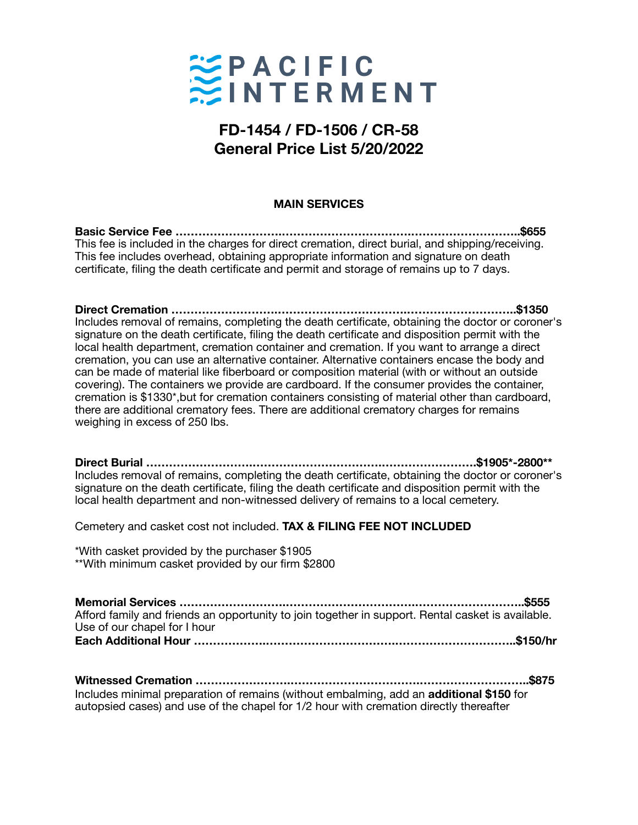

# **FD-1454 / FD-1506 / CR-58 General Price List 5/20/2022**

#### **MAIN SERVICES**

**Basic Service Fee ……………………….…………………………….………………………..\$655**  This fee is included in the charges for direct cremation, direct burial, and shipping/receiving. This fee includes overhead, obtaining appropriate information and signature on death certificate, filing the death certificate and permit and storage of remains up to 7 days.

**Direct Cremation ……………………….…………………………….………………………..\$1350**  Includes removal of remains, completing the death certificate, obtaining the doctor or coroner's signature on the death certificate, filing the death certificate and disposition permit with the local health department, cremation container and cremation. If you want to arrange a direct cremation, you can use an alternative container. Alternative containers encase the body and can be made of material like fiberboard or composition material (with or without an outside covering). The containers we provide are cardboard. If the consumer provides the container, cremation is \$1330\*,but for cremation containers consisting of material other than cardboard, there are additional crematory fees. There are additional crematory charges for remains weighing in excess of 250 lbs.

**Direct Burial ……………………….…………………………….…………………….\$1905\*-2800\*\***  Includes removal of remains, completing the death certificate, obtaining the doctor or coroner's signature on the death certificate, filing the death certificate and disposition permit with the local health department and non-witnessed delivery of remains to a local cemetery.

Cemetery and casket cost not included. **TAX & FILING FEE NOT INCLUDED**

\*With casket provided by the purchaser \$1905 \*\*With minimum casket provided by our firm \$2800

**Memorial Services ……………………….…………………………….………………………..\$555**  Afford family and friends an opportunity to join together in support. Rental casket is available. Use of our chapel for I hour **Each Additional Hour ……………….…………………………….…………………………..\$150/hr** 

**Witnessed Cremation …………………….…………………………….………………………..\$875**  Includes minimal preparation of remains (without embalming, add an **additional \$150** for autopsied cases) and use of the chapel for 1/2 hour with cremation directly thereafter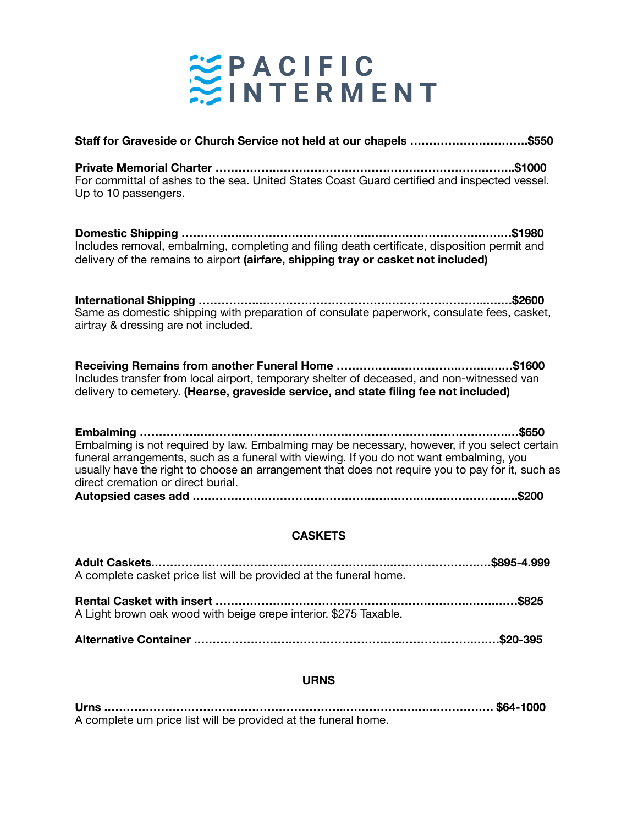

| Staff for Graveside or Church Service not held at our chapels \$550                                                                                                                                                                                                                                                                         |
|---------------------------------------------------------------------------------------------------------------------------------------------------------------------------------------------------------------------------------------------------------------------------------------------------------------------------------------------|
| For committal of ashes to the sea. United States Coast Guard certified and inspected vessel.<br>Up to 10 passengers.                                                                                                                                                                                                                        |
| \$1980.<br>Includes removal, embalming, completing and filing death certificate, disposition permit and<br>delivery of the remains to airport (airfare, shipping tray or casket not included)                                                                                                                                               |
| Same as domestic shipping with preparation of consulate paperwork, consulate fees, casket,<br>airtray & dressing are not included.                                                                                                                                                                                                          |
| Includes transfer from local airport, temporary shelter of deceased, and non-witnessed van<br>delivery to cemetery. (Hearse, graveside service, and state filing fee not included)                                                                                                                                                          |
| .\$650<br>Embalming is not required by law. Embalming may be necessary, however, if you select certain<br>funeral arrangements, such as a funeral with viewing. If you do not want embalming, you<br>usually have the right to choose an arrangement that does not require you to pay for it, such as<br>direct cremation or direct burial. |
| .\$200                                                                                                                                                                                                                                                                                                                                      |

## **CASKETS**

| A complete casket price list will be provided at the funeral home. |  |
|--------------------------------------------------------------------|--|
| A Light brown oak wood with beige crepe interior. \$275 Taxable.   |  |
|                                                                    |  |

### **URNS**

**Urns .…………………………….………………………..……………….….……………. \$64-1000**  A complete urn price list will be provided at the funeral home.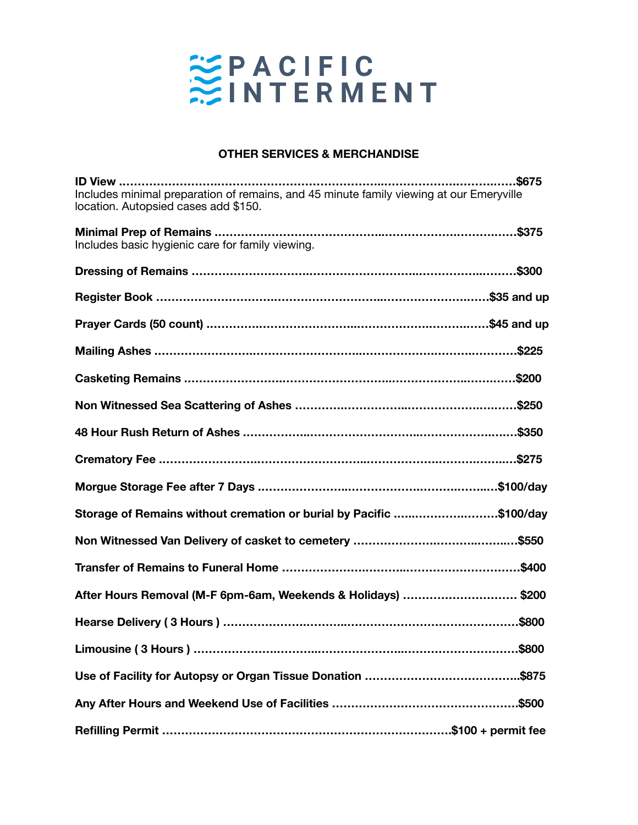

#### **OTHER SERVICES & MERCHANDISE**

| \$675<br>Includes minimal preparation of remains, and 45 minute family viewing at our Emeryville<br>location. Autopsied cases add \$150. |
|------------------------------------------------------------------------------------------------------------------------------------------|
| Includes basic hygienic care for family viewing.                                                                                         |
|                                                                                                                                          |
|                                                                                                                                          |
|                                                                                                                                          |
| Mailing Ashes ………………………………………………………………………………………\$225                                                                                     |
|                                                                                                                                          |
|                                                                                                                                          |
| 48 Hour Rush Return of Ashes ………………………………………………………………\$350                                                                               |
|                                                                                                                                          |
|                                                                                                                                          |
| Storage of Remains without cremation or burial by Pacific \$100/day                                                                      |
|                                                                                                                                          |
| Transfer of Remains to Funeral Home …………………………………………………………\$400                                                                          |
| After Hours Removal (M-F 6pm-6am, Weekends & Holidays) \$200                                                                             |
|                                                                                                                                          |
| .\$800                                                                                                                                   |
| .\$875                                                                                                                                   |
|                                                                                                                                          |
|                                                                                                                                          |